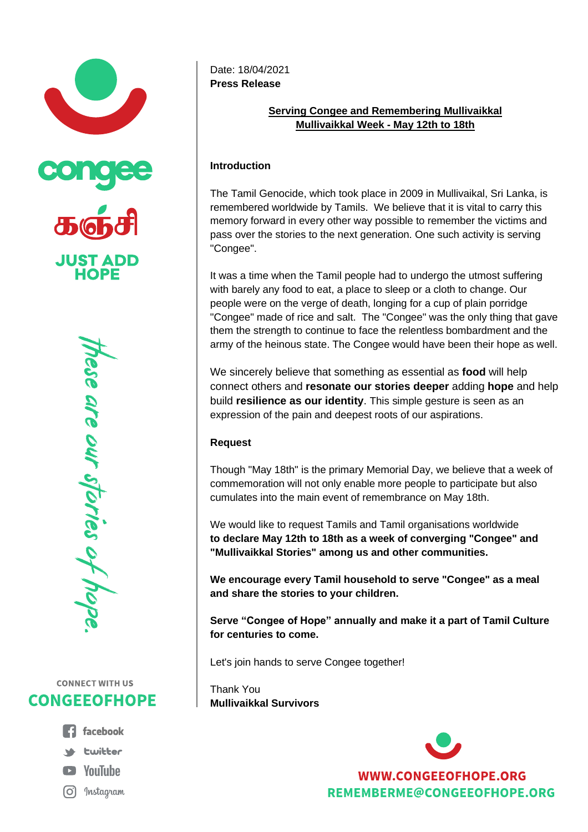



# **CONNECT WITH US CONGEEOFHOPE**

- **1** facebook **St** Ewitter **E** YouTube
- (O) Instagram

Date: 18/04/2021 **Press Release**

### **Serving Congee and Remembering Mullivaikkal Mullivaikkal Week - May 12th to 18th**

## **Introduction**

The Tamil Genocide, which took place in 2009 in Mullivaikal, Sri Lanka, is remembered worldwide by Tamils. We believe that it is vital to carry this memory forward in every other way possible to remember the victims and pass over the stories to the next generation. One such activity is serving "Congee".

It was a time when the Tamil people had to undergo the utmost suffering with barely any food to eat, a place to sleep or a cloth to change. Our people were on the verge of death, longing for a cup of plain porridge "Congee" made of rice and salt. The "Congee" was the only thing that gave them the strength to continue to face the relentless bombardment and the army of the heinous state. The Congee would have been their hope as well.

We sincerely believe that something as essential as **food** will help connect others and **resonate our stories deeper** adding **hope** and help build **resilience as our identity**. This simple gesture is seen as an expression of the pain and deepest roots of our aspirations.

## **Request**

Though "May 18th" is the primary Memorial Day, we believe that a week of commemoration will not only enable more people to participate but also cumulates into the main event of remembrance on May 18th.

We would like to request Tamils and Tamil organisations worldwide **to declare May 12th to 18th as a week of converging "Congee" and "Mullivaikkal Stories" among us and other communities.**

**We encourage every Tamil household to serve "Congee" as a meal and share the stories to your children.**

**Serve "Congee of Hope" annually and make it a part of Tamil Culture for centuries to come.**

Let's join hands to serve Congee together!

Thank You **Mullivaikkal Survivors**



**WWW.CONGEEOFHOPE.ORG** REMEMBERME@CONGEEOFHOPE.ORG